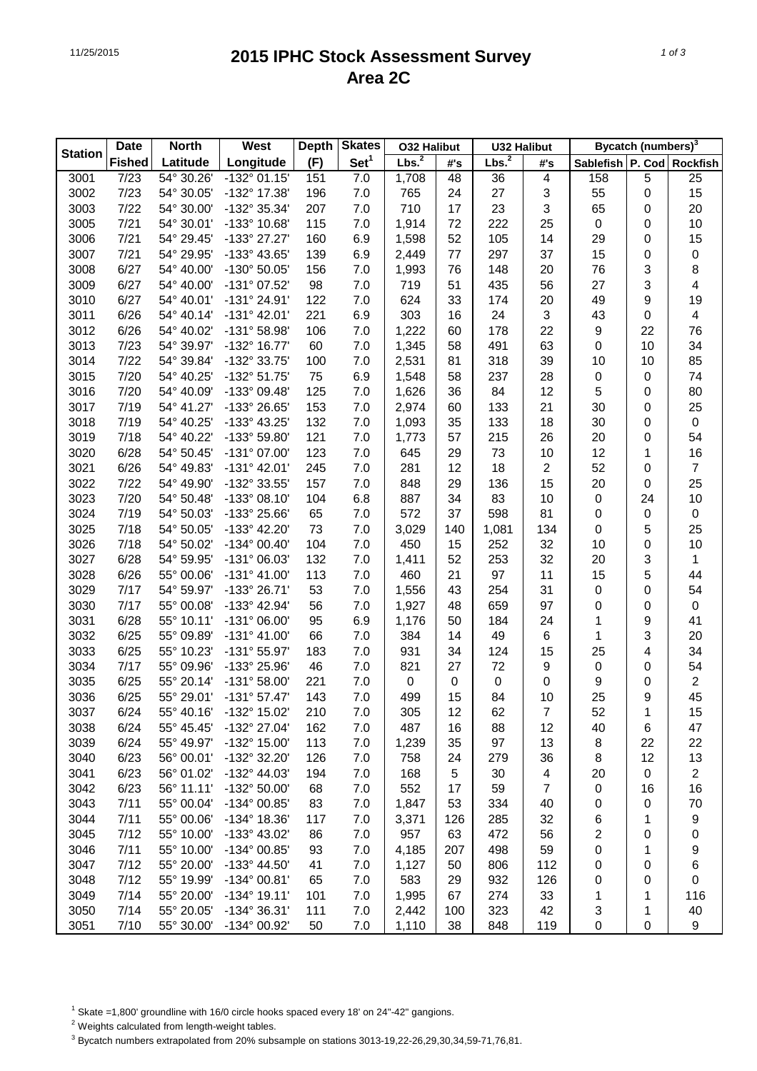## 11/25/2015 **2015 IPHC Stock Assessment Survey Area 2C**

| <b>Date</b>    |               | <b>North</b>       | West                  | <b>Depth</b> | <b>Skates</b>    | <b>032 Halibut</b> |     | <b>U32 Halibut</b> |                           | <b>Bycatch (numbers)</b> <sup>3</sup> |    |                         |
|----------------|---------------|--------------------|-----------------------|--------------|------------------|--------------------|-----|--------------------|---------------------------|---------------------------------------|----|-------------------------|
| <b>Station</b> | <b>Fished</b> | Latitude           | Longitude             | (F)          | Set <sup>1</sup> | Lbs. <sup>2</sup>  | #'s | Lbs. <sup>2</sup>  | #'s                       | Sablefish P. Cod                      |    | <b>Rockfish</b>         |
| 3001           | 7/23          | 54° 30.26'         | $-132^{\circ}$ 01.15' | 151          | 7.0              | 1,708              | 48  | 36                 | 4                         | 158                                   | 5  | 25                      |
| 3002           | 7/23          | 54° 30.05'         | -132° 17.38'          | 196          | 7.0              | 765                | 24  | 27                 | 3                         | 55                                    | 0  | 15                      |
| 3003           | 7/22          | 54° 30.00'         | -132° 35.34'          | 207          | 7.0              | 710                | 17  | 23                 | 3                         | 65                                    | 0  | 20                      |
| 3005           | 7/21          | 54° 30.01'         | -133° 10.68'          | 115          | 7.0              | 1,914              | 72  | 222                | 25                        | 0                                     | 0  | 10                      |
| 3006           | 7/21          | 54° 29.45'         | -133° 27.27'          | 160          | 6.9              | 1,598              | 52  | 105                | 14                        | 29                                    | 0  | 15                      |
| 3007           | 7/21          | 54° 29.95'         | -133° 43.65'          | 139          | 6.9              | 2,449              | 77  | 297                | 37                        | 15                                    | 0  | $\pmb{0}$               |
| 3008           | 6/27          | 54° 40.00'         | -130° 50.05'          | 156          | 7.0              | 1,993              | 76  | 148                | 20                        | 76                                    | 3  | 8                       |
| 3009           | 6/27          | 54° 40.00'         | -131° 07.52'          | 98           | 7.0              | 719                | 51  | 435                | 56                        | 27                                    | 3  | 4                       |
| 3010           | 6/27          | 54° 40.01'         | -131° 24.91'          | 122          | 7.0              | 624                | 33  | 174                | 20                        | 49                                    | 9  | 19                      |
| 3011           | 6/26          | 54° 40.14'         | $-131^{\circ}$ 42.01' | 221          | 6.9              | 303                | 16  | 24                 | $\ensuremath{\mathsf{3}}$ | 43                                    | 0  | $\overline{\mathbf{4}}$ |
| 3012           | 6/26          | 54° 40.02'         | -131° 58.98'          | 106          | 7.0              | 1,222              | 60  | 178                | 22                        | 9                                     | 22 | 76                      |
| 3013           | 7/23          | 54° 39.97'         | -132° 16.77'          | 60           | 7.0              | 1,345              | 58  | 491                | 63                        | $\pmb{0}$                             | 10 | 34                      |
| 3014           | 7/22          | 54° 39.84'         | -132° 33.75'          | 100          | 7.0              | 2,531              | 81  | 318                | 39                        | 10                                    | 10 | 85                      |
| 3015           | 7/20          | 54° 40.25'         | $-132^{\circ}51.75'$  | 75           | 6.9              | 1,548              | 58  | 237                | 28                        | 0                                     | 0  | 74                      |
| 3016           | 7/20          | 54° 40.09'         | -133° 09.48'          | 125          | 7.0              | 1,626              | 36  | 84                 | 12                        | 5                                     | 0  | 80                      |
| 3017           | 7/19          | 54° 41.27'         | -133° 26.65'          | 153          | 7.0              | 2,974              | 60  | 133                | 21                        | 30                                    | 0  | 25                      |
| 3018           | 7/19          | 54° 40.25'         | -133° 43.25'          | 132          | 7.0              | 1,093              | 35  | 133                | 18                        | 30                                    | 0  | $\pmb{0}$               |
| 3019           | 7/18          | 54° 40.22'         | -133° 59.80'          | 121          | 7.0              | 1,773              | 57  | 215                | 26                        | 20                                    | 0  | 54                      |
| 3020           | 6/28          | 54° 50.45'         | -131° 07.00'          | 123          | 7.0              | 645                | 29  | 73                 | 10                        | 12                                    | 1  | 16                      |
| 3021           | 6/26          | 54° 49.83'         | $-131^{\circ}$ 42.01' | 245          | 7.0              | 281                | 12  | 18                 | 2                         | 52                                    | 0  | $\overline{7}$          |
| 3022           | 7/22          | 54° 49.90'         | -132° 33.55'          | 157          | 7.0              | 848                | 29  | 136                | 15                        | 20                                    | 0  | 25                      |
| 3023           | 7/20          | 54° 50.48'         | -133° 08.10'          | 104          | 6.8              | 887                | 34  | 83                 | 10                        | 0                                     | 24 | 10                      |
| 3024           | 7/19          | 54° 50.03'         | -133° 25.66'          | 65           | 7.0              | 572                | 37  | 598                | 81                        | $\pmb{0}$                             | 0  | $\pmb{0}$               |
| 3025           | 7/18          | 54° 50.05'         | -133° 42.20'          | 73           | 7.0              | 3,029              | 140 | 1,081              | 134                       | $\pmb{0}$                             | 5  | 25                      |
| 3026           | 7/18          | 54° 50.02'         | $-134^{\circ}$ 00.40' | 104          | 7.0              | 450                | 15  | 252                | 32                        | 10                                    | 0  | 10                      |
| 3027           | 6/28          | 54° 59.95'         | -131° 06.03'          | 132          | 7.0              | 1,411              | 52  | 253                | 32                        | 20                                    | 3  | $\mathbf{1}$            |
| 3028           | 6/26          | 55° 00.06'         | $-131^{\circ}$ 41.00' | 113          | 7.0              | 460                | 21  | 97                 | 11                        | 15                                    | 5  | 44                      |
| 3029           | 7/17          | 54° 59.97'         | -133° 26.71'          | 53           | 7.0              | 1,556              | 43  | 254                | 31                        | 0                                     | 0  | 54                      |
| 3030           | 7/17          | 55° 00.08'         | -133° 42.94'          | 56           | 7.0              | 1,927              | 48  | 659                | 97                        | 0                                     | 0  | $\pmb{0}$               |
| 3031           | 6/28          | 55° 10.11'         | $-131^{\circ}$ 06.00' | 95           | 6.9              | 1,176              | 50  | 184                | 24                        | 1                                     | 9  | 41                      |
| 3032           | 6/25          | 55° 09.89'         | $-131^{\circ}$ 41.00' | 66           | 7.0              | 384                | 14  | 49                 | 6                         | 1                                     | 3  | 20                      |
| 3033           | 6/25          | 55° 10.23'         | -131° 55.97'          | 183          | 7.0              | 931                | 34  | 124                | 15                        | 25                                    | 4  | 34                      |
| 3034           | 7/17          | 55° 09.96'         | -133° 25.96'          | 46           | 7.0              | 821                | 27  | 72                 | 9                         | 0                                     | 0  | 54                      |
| 3035           | 6/25          | 55° 20.14'         | $-131^{\circ}58.00'$  | 221          | 7.0              | $\mathbf 0$        | 0   | 0                  | 0                         | 9                                     | 0  | $\sqrt{2}$              |
| 3036           | 6/25          | 55° 29.01'         | $-131°57.47'$         | 143          | 7.0              | 499                | 15  | 84                 | 10                        | 25                                    | 9  | 45                      |
| 3037           | 6/24          | $55^{\circ}$ 40.16 | -132° 15.02'          | 210          | 7.0              | 305                | 12  | 62                 | 7                         | 52                                    | 1  | 15                      |
| 3038           | 6/24          | 55° 45.45'         | -132° 27.04'          | 162          | 7.0              | 487                | 16  | 88                 | 12                        | 40                                    | 6  | 47                      |
| 3039           | 6/24          | 55° 49.97'         | -132° 15.00'          | 113          | 7.0              | 1,239              | 35  | 97                 | 13                        | 8                                     | 22 | 22                      |
| 3040           | 6/23          | 56° 00.01'         | -132° 32.20'          | 126          | 7.0              | 758                | 24  | 279                | 36                        | 8                                     | 12 | 13                      |
| 3041           | 6/23          | 56° 01.02'         | -132° 44.03'          | 194          | 7.0              | 168                | 5   | 30                 | 4                         | 20                                    | 0  | $\overline{2}$          |
| 3042           | 6/23          | 56° 11.11'         | -132° 50.00'          | 68           | 7.0              | 552                | 17  | 59                 | $\overline{7}$            | 0                                     | 16 | 16                      |
| 3043           | 7/11          | 55° 00.04'         | -134° 00.85'          | 83           | 7.0              | 1,847              | 53  | 334                | 40                        | 0                                     | 0  | 70                      |
| 3044           | 7/11          | 55° 00.06'         | -134° 18.36'          | 117          | 7.0              |                    | 126 | 285                | 32                        |                                       |    |                         |
|                | 7/12          | 55° 10.00'         |                       | 86           |                  | 3,371              | 63  | 472                |                           | 6                                     | 1  | 9                       |
| 3045           |               |                    | -133° 43.02'          |              | 7.0              | 957                |     |                    | 56                        | 2                                     | 0  | 0                       |
| 3046           | 7/11          | 55° 10.00'         | -134° 00.85'          | 93           | 7.0              | 4,185              | 207 | 498                | 59                        | 0                                     | 1  | 9                       |
| 3047           | 7/12          | 55° 20.00'         | -133° 44.50'          | 41           | 7.0              | 1,127              | 50  | 806                | 112                       | 0                                     | 0  | 6                       |
| 3048           | 7/12          | 55° 19.99'         | $-134^{\circ}$ 00.81' | 65           | 7.0              | 583                | 29  | 932                | 126                       | 0                                     | 0  | 0                       |
| 3049           | 7/14          | 55° 20.00'         | $-134^{\circ}$ 19.11' | 101          | 7.0              | 1,995              | 67  | 274                | 33                        | 1                                     | 1  | 116                     |
| 3050           | 7/14          | 55° 20.05'         | -134° 36.31'          | 111          | 7.0              | 2,442              | 100 | 323                | 42                        | 3                                     | 1  | 40                      |
| 3051           | 7/10          | 55° 30.00'         | -134° 00.92'          | 50           | 7.0              | 1,110              | 38  | 848                | 119                       | 0                                     | 0  | 9                       |

 $1$  Skate =1,800' groundline with 16/0 circle hooks spaced every 18' on 24"-42" gangions.

2 Weights calculated from length-weight tables.

 $^3$  Bycatch numbers extrapolated from 20% subsample on stations 3013-19,22-26,29,30,34,59-71,76,81.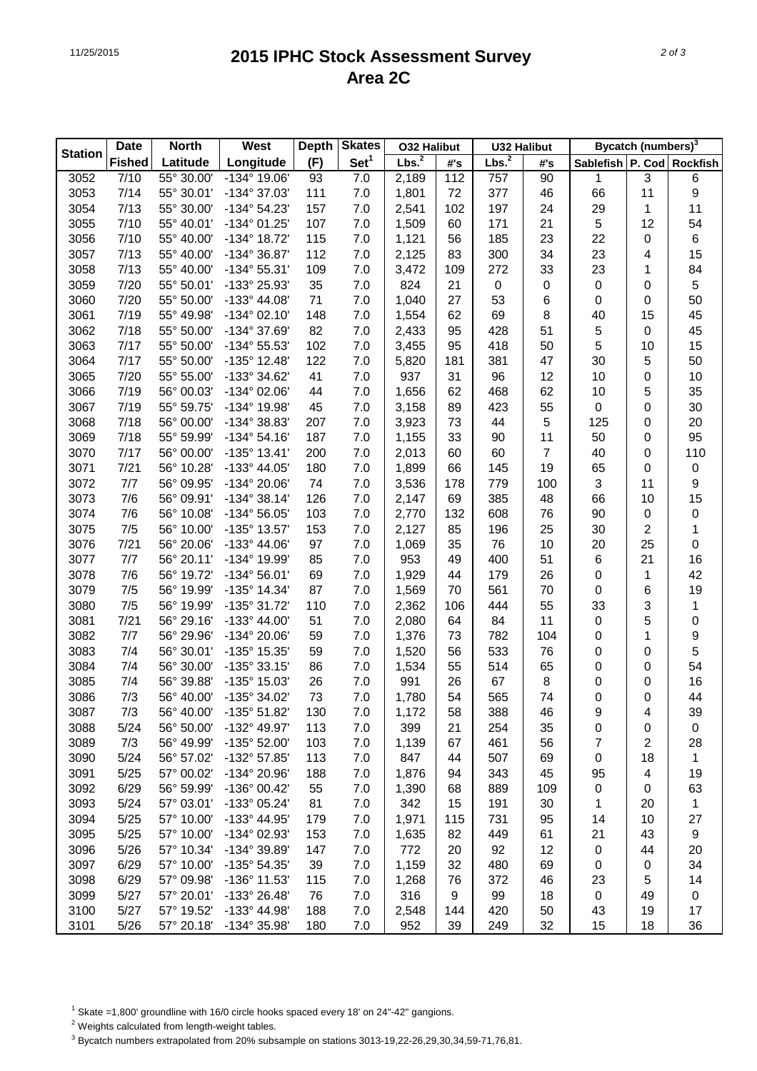## 11/25/2015 **2015 IPHC Stock Assessment Survey Area 2C**

|                | <b>Date</b>   | <b>North</b>             | West                  | <b>Depth</b> | <b>Skates</b>    | <b>032 Halibut</b> |                  | <b>U32 Halibut</b> |                | <b>Bycatch (numbers)</b> <sup>3</sup> |    |                  |  |
|----------------|---------------|--------------------------|-----------------------|--------------|------------------|--------------------|------------------|--------------------|----------------|---------------------------------------|----|------------------|--|
| <b>Station</b> | <b>Fished</b> | Latitude                 | Longitude             | (F)          | Set <sup>1</sup> | Lbs. <sup>2</sup>  | #'s              | Lbs. <sup>2</sup>  | #'s            | Sablefish   P. Cod   Rockfish         |    |                  |  |
| 3052           | 7/10          | 55° 30.00'               | -134° 19.06'          | 93           | 7.0              | 2,189              | 112              | 757                | 90             | 1                                     | 3  | 6                |  |
| 3053           | 7/14          | 55° 30.01'               | -134° 37.03'          | 111          | 7.0              | 1,801              | 72               | 377                | 46             | 66                                    | 11 | $\boldsymbol{9}$ |  |
| 3054           | 7/13          | 55° 30.00'               | $-134^{\circ} 54.23'$ | 157          | 7.0              | 2,541              | 102              | 197                | 24             | 29                                    | 1  | 11               |  |
| 3055           | 7/10          | 55° 40.01'               | -134° 01.25'          | 107          | 7.0              | 1,509              | 60               | 171                | 21             | 5                                     | 12 | 54               |  |
| 3056           | 7/10          | 55° 40.00'               | -134° 18.72'          | 115          | 7.0              | 1,121              | 56               | 185                | 23             | 22                                    | 0  | $\,6$            |  |
| 3057           | 7/13          | 55° 40.00'               | -134° 36.87'          | 112          | 7.0              | 2,125              | 83               | 300                | 34             | 23                                    | 4  | 15               |  |
| 3058           | 7/13          | 55° 40.00'               | $-134^{\circ}55.31'$  | 109          | 7.0              | 3,472              | 109              | 272                | 33             | 23                                    | 1  | 84               |  |
| 3059           | 7/20          | 55° 50.01'               | -133° 25.93'          | 35           | 7.0              | 824                | 21               | $\pmb{0}$          | 0              | $\pmb{0}$                             | 0  | $\mathbf 5$      |  |
| 3060           | 7/20          | 55° 50.00'               | $-133^{\circ}$ 44.08' | 71           | 7.0              | 1,040              | 27               | 53                 | 6              | $\pmb{0}$                             | 0  | 50               |  |
| 3061           | 7/19          | 55° 49.98'               | $-134^{\circ}$ 02.10' | 148          | 7.0              | 1,554              | 62               | 69                 | 8              | 40                                    | 15 | 45               |  |
| 3062           | 7/18          | 55° 50.00'               | -134° 37.69'          | 82           | 7.0              | 2,433              | 95               | 428                | 51             | 5                                     | 0  | 45               |  |
| 3063           | 7/17          | 55° 50.00'               | -134° 55.53'          | 102          | 7.0              | 3,455              | 95               | 418                | 50             | 5                                     | 10 | 15               |  |
| 3064           | 7/17          | 55° 50.00'               | $-135^{\circ}$ 12.48' | 122          | 7.0              | 5,820              | 181              | 381                | 47             | 30                                    | 5  | 50               |  |
| 3065           | 7/20          | 55° 55.00                | -133° 34.62'          | 41           | 7.0              | 937                | 31               | 96                 | 12             | 10                                    | 0  | 10               |  |
| 3066           | 7/19          | 56° 00.03'               | -134° 02.06'          | 44           | 7.0              | 1,656              | 62               | 468                | 62             | 10                                    | 5  | 35               |  |
| 3067           | 7/19          | 55° 59.75                | -134° 19.98'          | 45           | 7.0              | 3,158              | 89               | 423                | 55             | 0                                     | 0  | 30               |  |
| 3068           | 7/18          | 56° 00.00'               | -134° 38.83'          | 207          | 7.0              | 3,923              | 73               | 44                 | 5              | 125                                   | 0  | 20               |  |
| 3069           | 7/18          | 55° 59.99'               | $-134^{\circ} 54.16'$ | 187          | 7.0              | 1,155              | 33               | 90                 | 11             | 50                                    | 0  | 95               |  |
| 3070           | 7/17          | 56° 00.00'               | $-135^{\circ}$ 13.41' | 200          | 7.0              | 2,013              | 60               | 60                 | $\overline{7}$ | 40                                    | 0  | 110              |  |
| 3071           | 7/21          | 56° 10.28'               | -133° 44.05'          | 180          | 7.0              | 1,899              | 66               | 145                | 19             | 65                                    | 0  | $\pmb{0}$        |  |
| 3072           | 7/7           | 56° 09.95                | -134° 20.06'          | 74           | 7.0              | 3,536              | 178              | 779                | 100            | 3                                     | 11 | $\boldsymbol{9}$ |  |
| 3073           | 7/6           | 56° 09.91'               | $-134^{\circ}38.14'$  | 126          | 7.0              | 2,147              | 69               | 385                | 48             | 66                                    | 10 | 15               |  |
| 3074           | 7/6           | 56° 10.08'               | $-134^{\circ} 56.05'$ | 103          | 7.0              | 2,770              | 132              | 608                | 76             | 90                                    | 0  | $\pmb{0}$        |  |
| 3075           | 7/5           | 56° 10.00'               | -135° 13.57'          | 153          | 7.0              | 2,127              | 85               | 196                | 25             | 30                                    | 2  | $\mathbf{1}$     |  |
| 3076           | 7/21          | 56° 20.06'               | $-133^{\circ}$ 44.06' | 97           | 7.0              | 1,069              | 35               | 76                 | 10             | 20                                    | 25 | $\pmb{0}$        |  |
| 3077           | $7/7$         | 56° 20.11'               | -134° 19.99'          | 85           | 7.0              | 953                | 49               | 400                | 51             | 6                                     | 21 | 16               |  |
| 3078           | 7/6           | 56° 19.72'               | $-134^{\circ} 56.01'$ | 69           | 7.0              | 1,929              | 44               | 179                | 26             | $\mathsf 0$                           | 1  | 42               |  |
| 3079           | 7/5           | 56° 19.99'               | -135° 14.34'          | 87           | 7.0              | 1,569              | 70               | 561                | 70             | $\mathsf 0$                           | 6  | 19               |  |
| 3080           | 7/5           | 56° 19.99'               | -135° 31.72'          | 110          | 7.0              | 2,362              | 106              | 444                | 55             | 33                                    | 3  | $\mathbf{1}$     |  |
| 3081           | 7/21          | 56° 29.16'               | -133° 44.00'          | 51           | 7.0              | 2,080              | 64               | 84                 | 11             | $\mathsf 0$                           | 5  | $\pmb{0}$        |  |
| 3082           | $7/7$         | 56° 29.96'               | -134° 20.06'          | 59           | 7.0              | 1,376              | 73               | 782                | 104            | 0                                     | 1  | $\boldsymbol{9}$ |  |
| 3083           | 7/4           | 56° 30.01'               | -135° 15.35'          | 59           | 7.0              | 1,520              | 56               | 533                | 76             | 0                                     | 0  | $\mathbf 5$      |  |
| 3084           | 7/4           | 56° 30.00                | $-135°33.15'$         | 86           | 7.0              | 1,534              | 55               | 514                | 65             | 0                                     | 0  | 54               |  |
| 3085           | 7/4           | 56° 39.88'               | -135° 15.03'          | 26           | 7.0              | 991                | 26               | 67                 | 8              | 0                                     | 0  | 16               |  |
| 3086           | 7/3           | 56° 40.00'               | -135° 34.02'          | 73           | 7.0              | 1,780              | 54               | 565                | 74             | 0                                     | 0  | 44               |  |
| 3087           | 7/3           | 56° 40.00'               | -135° 51.82'          | 130          | 7.0              | 1,172              | 58               | 388                | 46             | 9                                     | 4  | 39               |  |
| 3088           | 5/24          | 56° 50.00'               | -132° 49.97'          | 113          | 7.0              | 399                | 21               | 254                | 35             | 0                                     | 0  | $\,0\,$          |  |
| 3089           | 7/3           | 56° 49.99'               | -135° 52.00'          | 103          | 7.0              | 1,139              | 67               | 461                | 56             | 7                                     | 2  | 28               |  |
| 3090           | 5/24          | 56° 57.02'               | -132° 57.85'          | 113          | 7.0              | 847                | 44               | 507                | 69             | 0                                     | 18 | $\mathbf{1}$     |  |
| 3091           | 5/25          | 57° 00.02'               | -134° 20.96'          | 188          | 7.0              | 1,876              | 94               | 343                | 45             | 95                                    | 4  | 19               |  |
| 3092           | 6/29          | 56° 59.99'               | -136° 00.42'          | 55           | 7.0              | 1,390              | 68               | 889                | 109            | 0                                     | 0  | 63               |  |
| 3093           | 5/24          | 57° 03.01'               | -133° 05.24'          | 81           | 7.0              | 342                | 15               | 191                | 30             | 1                                     | 20 | $\mathbf{1}$     |  |
| 3094           | 5/25          | 57° 10.00'               | -133° 44.95'          | 179          | 7.0              | 1,971              | 115              | 731                | 95             | 14                                    | 10 | 27               |  |
| 3095           | 5/25          | 57° 10.00'               | -134° 02.93'          | 153          | 7.0              |                    | 82               | 449                | 61             | 21                                    | 43 | $\boldsymbol{9}$ |  |
|                |               |                          |                       |              |                  | 1,635              |                  |                    |                |                                       |    |                  |  |
| 3096           | 5/26          | 57° 10.34'<br>57° 10.00' | -134° 39.89'          | 147          | 7.0              | 772                | 20<br>32         | 92                 | 12             | 0                                     | 44 | 20               |  |
| 3097           | 6/29          |                          | -135° 54.35'          | 39           | 7.0              | 1,159              |                  | 480                | 69             | 0                                     | 0  | 34               |  |
| 3098           | 6/29          | 57° 09.98'               | -136° 11.53'          | 115          | 7.0              | 1,268              | 76               | 372                | 46             | 23                                    | 5  | 14               |  |
| 3099           | 5/27          | 57° 20.01'               | -133° 26.48'          | 76           | 7.0              | 316                | $\boldsymbol{9}$ | 99                 | 18             | 0                                     | 49 | $\,0\,$          |  |
| 3100           | 5/27          | 57° 19.52'               | -133° 44.98'          | 188          | 7.0              | 2,548              | 144              | 420                | 50             | 43                                    | 19 | 17               |  |
| 3101           | 5/26          | 57° 20.18'               | -134° 35.98'          | 180          | 7.0              | 952                | 39               | 249                | 32             | 15                                    | 18 | 36               |  |

 $1$  Skate =1,800' groundline with 16/0 circle hooks spaced every 18' on 24"-42" gangions.

2 Weights calculated from length-weight tables.

 $^3$  Bycatch numbers extrapolated from 20% subsample on stations 3013-19,22-26,29,30,34,59-71,76,81.